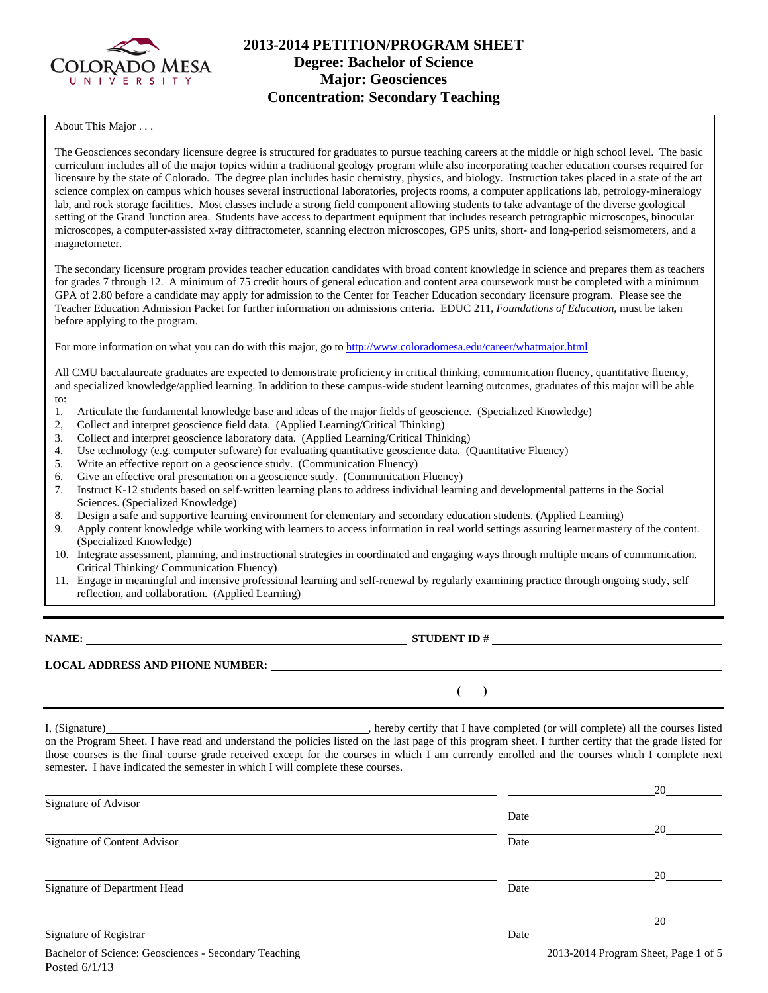

# **2013-2014 PETITION/PROGRAM SHEET Degree: Bachelor of Science Major: Geosciences Concentration: Secondary Teaching**

About This Major . . .

The Geosciences secondary licensure degree is structured for graduates to pursue teaching careers at the middle or high school level. The basic curriculum includes all of the major topics within a traditional geology program while also incorporating teacher education courses required for licensure by the state of Colorado. The degree plan includes basic chemistry, physics, and biology. Instruction takes placed in a state of the art science complex on campus which houses several instructional laboratories, projects rooms, a computer applications lab, petrology-mineralogy lab, and rock storage facilities. Most classes include a strong field component allowing students to take advantage of the diverse geological setting of the Grand Junction area. Students have access to department equipment that includes research petrographic microscopes, binocular microscopes, a computer-assisted x-ray diffractometer, scanning electron microscopes, GPS units, short- and long-period seismometers, and a magnetometer.

The secondary licensure program provides teacher education candidates with broad content knowledge in science and prepares them as teachers for grades 7 through 12. A minimum of 75 credit hours of general education and content area coursework must be completed with a minimum GPA of 2.80 before a candidate may apply for admission to the Center for Teacher Education secondary licensure program. Please see the Teacher Education Admission Packet for further information on admissions criteria. EDUC 211, *Foundations of Education*, must be taken before applying to the program.

For more information on what you can do with this major, go to http://www.coloradomesa.edu/career/whatmajor.html

All CMU baccalaureate graduates are expected to demonstrate proficiency in critical thinking, communication fluency, quantitative fluency, and specialized knowledge/applied learning. In addition to these campus-wide student learning outcomes, graduates of this major will be able to:

- 1. Articulate the fundamental knowledge base and ideas of the major fields of geoscience. (Specialized Knowledge)
- 2, Collect and interpret geoscience field data. (Applied Learning/Critical Thinking)
- 3. Collect and interpret geoscience laboratory data. (Applied Learning/Critical Thinking)
- 4. Use technology (e.g. computer software) for evaluating quantitative geoscience data. (Quantitative Fluency)
- 5. Write an effective report on a geoscience study. (Communication Fluency)
- 6. Give an effective oral presentation on a geoscience study. (Communication Fluency)
- 7. Instruct K-12 students based on self-written learning plans to address individual learning and developmental patterns in the Social Sciences. (Specialized Knowledge)
- 8. Design a safe and supportive learning environment for elementary and secondary education students. (Applied Learning)
- 9. Apply content knowledge while working with learners to access information in real world settings assuring learner mastery of the content. (Specialized Knowledge)
- 10. Integrate assessment, planning, and instructional strategies in coordinated and engaging ways through multiple means of communication. Critical Thinking/ Communication Fluency)
- 11. Engage in meaningful and intensive professional learning and self-renewal by regularly examining practice through ongoing study, self reflection, and collaboration. (Applied Learning)

**NAME: STUDENT ID #**

 **( )** 

**LOCAL ADDRESS AND PHONE NUMBER:**

I, (Signature) , hereby certify that I have completed (or will complete) all the courses listed on the Program Sheet. I have read and understand the policies listed on the last page of this program sheet. I further certify that the grade listed for those courses is the final course grade received except for the courses in which I am currently enrolled and the courses which I complete next semester. I have indicated the semester in which I will complete these courses.

|                              |      | 20 |
|------------------------------|------|----|
| Signature of Advisor         |      |    |
|                              | Date |    |
|                              |      | 20 |
| Signature of Content Advisor | Date |    |
|                              |      |    |
|                              |      | 20 |
| Signature of Department Head | Date |    |
|                              |      |    |
|                              |      | 20 |
| Signature of Registrar       | Date |    |
|                              |      |    |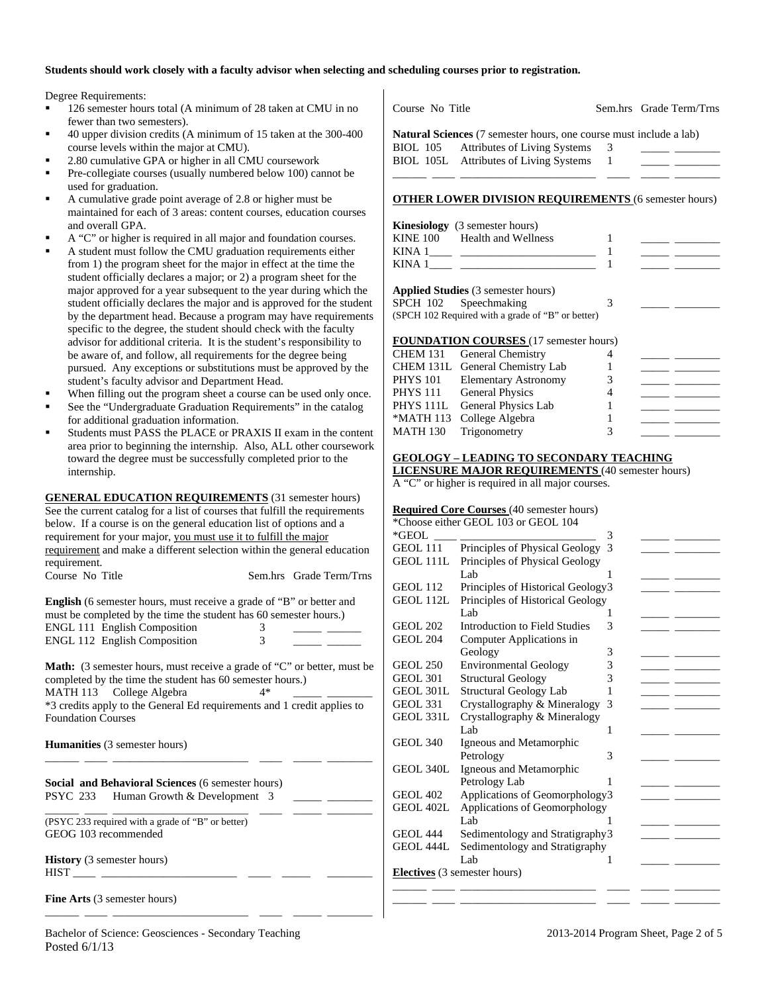#### **Students should work closely with a faculty advisor when selecting and scheduling courses prior to registration.**

Degree Requirements:

- 126 semester hours total (A minimum of 28 taken at CMU in no fewer than two semesters).
- 40 upper division credits (A minimum of 15 taken at the 300-400 course levels within the major at CMU).
- 2.80 cumulative GPA or higher in all CMU coursework
- Pre-collegiate courses (usually numbered below 100) cannot be used for graduation.
- A cumulative grade point average of 2.8 or higher must be maintained for each of 3 areas: content courses, education courses and overall GPA.
- A "C" or higher is required in all major and foundation courses.
- A student must follow the CMU graduation requirements either from 1) the program sheet for the major in effect at the time the student officially declares a major; or 2) a program sheet for the major approved for a year subsequent to the year during which the student officially declares the major and is approved for the student by the department head. Because a program may have requirements specific to the degree, the student should check with the faculty advisor for additional criteria. It is the student's responsibility to be aware of, and follow, all requirements for the degree being pursued. Any exceptions or substitutions must be approved by the student's faculty advisor and Department Head.
- When filling out the program sheet a course can be used only once.
- See the "Undergraduate Graduation Requirements" in the catalog for additional graduation information.
- Students must PASS the PLACE or PRAXIS II exam in the content area prior to beginning the internship. Also, ALL other coursework toward the degree must be successfully completed prior to the internship.

**GENERAL EDUCATION REQUIREMENTS** (31 semester hours) See the current catalog for a list of courses that fulfill the requirements below. If a course is on the general education list of options and a requirement for your major, you must use it to fulfill the major requirement and make a different selection within the general education requirement. Course No Title Sem.hrs Grade Term/Trns

**English** (6 semester hours, must receive a grade of "B" or better and must be completed by the time the student has 60 semester hours.) ENGL 111 English Composition 3<br>ENGL 112 English Composition 3 ENGL 112 English Composition

Math: (3 semester hours, must receive a grade of "C" or better, must be completed by the time the student has 60 semester hours.) MATH 113 College Algebra 4\* \*3 credits apply to the General Ed requirements and 1 credit applies to Foundation Courses

\_\_\_\_\_\_ \_\_\_\_ \_\_\_\_\_\_\_\_\_\_\_\_\_\_\_\_\_\_\_\_\_\_\_\_ \_\_\_\_ \_\_\_\_\_ \_\_\_\_\_\_\_\_

\_\_\_\_\_\_ \_\_\_\_ \_\_\_\_\_\_\_\_\_\_\_\_\_\_\_\_\_\_\_\_\_\_\_\_ \_\_\_\_ \_\_\_\_\_ \_\_\_\_\_\_\_\_

**Humanities** (3 semester hours)

**Social and Behavioral Sciences** (6 semester hours) PSYC 233 Human Growth & Development 3

\_\_\_\_\_\_ \_\_\_\_ \_\_\_\_\_\_\_\_\_\_\_\_\_\_\_\_\_\_\_\_\_\_\_\_ \_\_\_\_ \_\_\_\_\_ \_\_\_\_\_\_\_\_ (PSYC 233 required with a grade of "B" or better) GEOG 103 recommended

**History** (3 semester hours) HIST \_\_\_\_ \_\_\_\_\_\_\_\_\_\_\_\_\_\_\_\_\_\_\_\_\_\_\_\_ \_\_\_\_ \_\_\_\_\_ \_\_\_\_\_\_\_\_

**Fine Arts** (3 semester hours)

Course No Title Sem.hrs Grade Term/Trns

**Natural Sciences** (7 semester hours, one course must include a lab) BIOL 105 Attributes of Living Systems 3 BIOL 105L Attributes of Living Systems 1 \_\_\_\_\_\_ \_\_\_\_ \_\_\_\_\_\_\_\_\_\_\_\_\_\_\_\_\_\_\_\_\_\_\_\_ \_\_\_\_ \_\_\_\_\_ \_\_\_\_\_\_\_\_

#### **OTHER LOWER DIVISION REQUIREMENTS** (6 semester hours)

|                 | <b>Kinesiology</b> (3 semester hours) |  |
|-----------------|---------------------------------------|--|
| <b>KINE 100</b> | Health and Wellness                   |  |
| KINA 1          |                                       |  |
| KINA 1          |                                       |  |

| <b>Applied Studies</b> (3 semester hours) |  |  |
|-------------------------------------------|--|--|
| SPCH 102 Speechmaking                     |  |  |

|  |  |  | (SPCH 102 Required with a grade of "B" or better) |
|--|--|--|---------------------------------------------------|

#### **FOUNDATION COURSES** (17 semester hours)

| CHEM 131 General Chemistry      |  |  |
|---------------------------------|--|--|
| CHEM 131L General Chemistry Lab |  |  |
| PHYS 101 Elementary Astronomy   |  |  |
| PHYS 111 General Physics        |  |  |
| PHYS 111L General Physics Lab   |  |  |
| *MATH 113 College Algebra       |  |  |
| MATH 130 Trigonometry           |  |  |
|                                 |  |  |

# **GEOLOGY – LEADING TO SECONDARY TEACHING**

**LICENSURE MAJOR REQUIREMENTS** (40 semester hours)

A "C" or higher is required in all major courses.

#### **Required Core Courses** (40 semester hours)

|                  | *Choose either GEOL 103 or GEOL 104 |   |  |
|------------------|-------------------------------------|---|--|
| *GEOL            |                                     | 3 |  |
| GEOL 111         | Principles of Physical Geology      | 3 |  |
| <b>GEOL 111L</b> | Principles of Physical Geology      |   |  |
|                  | Lab                                 |   |  |
| GEOL 112         | Principles of Historical Geology3   |   |  |
| GEOL 112L        | Principles of Historical Geology    |   |  |
|                  | Lab.                                | 1 |  |
| <b>GEOL 202</b>  | Introduction to Field Studies       | 3 |  |
| <b>GEOL 204</b>  | Computer Applications in            |   |  |
|                  | Geology                             | 3 |  |
| <b>GEOL 250</b>  | <b>Environmental Geology</b>        | 3 |  |
| <b>GEOL 301</b>  | <b>Structural Geology</b>           | 3 |  |
| GEOL 301L        | Structural Geology Lab              | 1 |  |
| <b>GEOL 331</b>  | Crystallography & Mineralogy        | 3 |  |
| GEOL 331L        | Crystallography & Mineralogy        |   |  |
|                  | Lab.                                | 1 |  |
| <b>GEOL 340</b>  | Igneous and Metamorphic             |   |  |
|                  | Petrology                           | 3 |  |
| GEOL 340L        | Igneous and Metamorphic             |   |  |
|                  | Petrology Lab                       |   |  |
| <b>GEOL 402</b>  | Applications of Geomorphology3      |   |  |
| GEOL 402L        | Applications of Geomorphology       |   |  |
|                  | Lab                                 |   |  |
| <b>GEOL 444</b>  | Sedimentology and Stratigraphy 3    |   |  |
| GEOL 444L        | Sedimentology and Stratigraphy      |   |  |
|                  | Lab                                 | 1 |  |
|                  | <b>Electives</b> (3 semester hours) |   |  |
|                  |                                     |   |  |
|                  |                                     |   |  |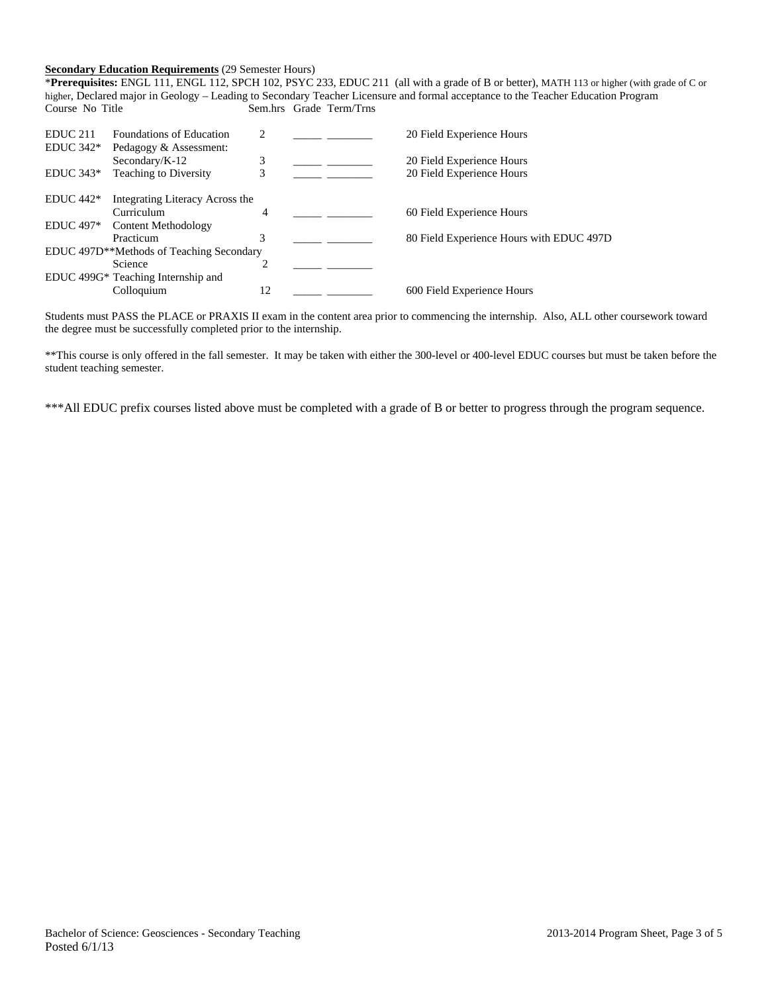### **Secondary Education Requirements** (29 Semester Hours)

\***Prerequisites:** ENGL 111, ENGL 112, SPCH 102, PSYC 233, EDUC 211 (all with a grade of B or better), MATH 113 or higher (with grade of C or higher, Declared major in Geology – Leading to Secondary Teacher Licensure and formal acceptance to the Teacher Education Program Course No Title Sem.hrs Grade Term/Trns

| EDUC <sub>211</sub> | Foundations of Education                              | 2  | 20 Field Experience Hours                |
|---------------------|-------------------------------------------------------|----|------------------------------------------|
| $EDUC 342*$         | Pedagogy & Assessment:                                |    |                                          |
|                     | Secondary/K-12                                        | 3  | 20 Field Experience Hours                |
| $EDUC 343*$         | <b>Teaching to Diversity</b>                          | 3  | 20 Field Experience Hours                |
| $EDUC 442*$         | Integrating Literacy Across the                       |    |                                          |
|                     | Curriculum                                            | 4  | 60 Field Experience Hours                |
| <b>EDUC</b> 497*    | <b>Content Methodology</b>                            |    |                                          |
|                     | Practicum                                             | 3  | 80 Field Experience Hours with EDUC 497D |
|                     | EDUC 497D <sup>**</sup> Methods of Teaching Secondary |    |                                          |
|                     | Science                                               |    |                                          |
|                     | EDUC 499G* Teaching Internship and                    |    |                                          |
|                     | Colloquium                                            | 12 | 600 Field Experience Hours               |

Students must PASS the PLACE or PRAXIS II exam in the content area prior to commencing the internship. Also, ALL other coursework toward the degree must be successfully completed prior to the internship.

\*\*This course is only offered in the fall semester. It may be taken with either the 300-level or 400-level EDUC courses but must be taken before the student teaching semester.

\*\*\*All EDUC prefix courses listed above must be completed with a grade of B or better to progress through the program sequence.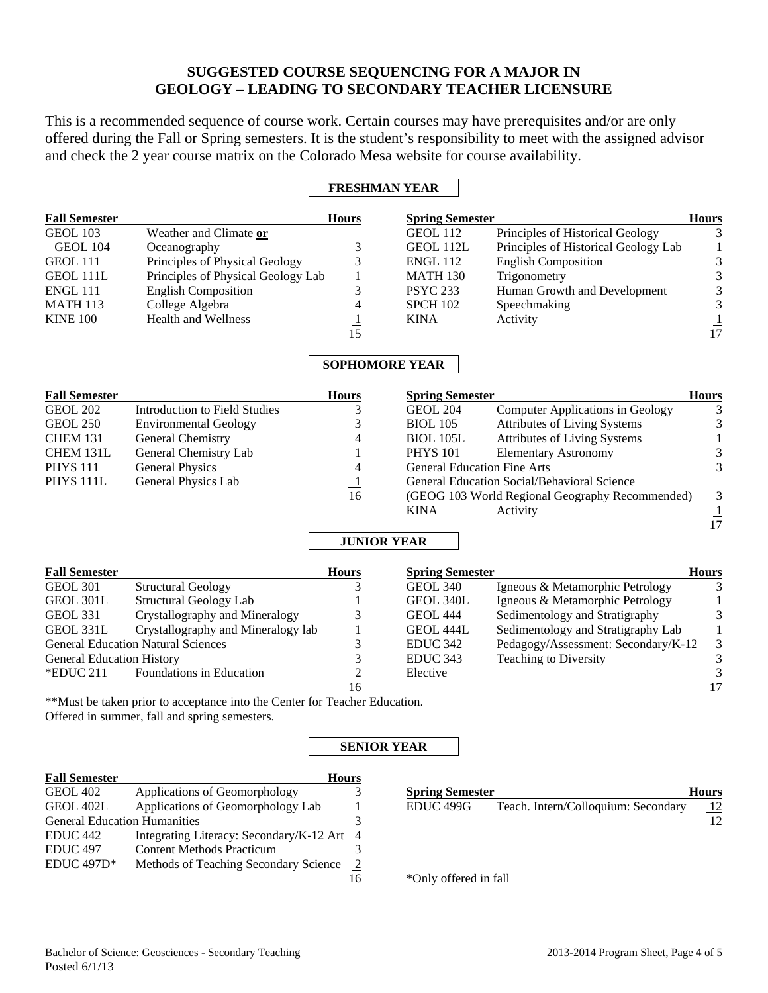# **SUGGESTED COURSE SEQUENCING FOR A MAJOR IN GEOLOGY – LEADING TO SECONDARY TEACHER LICENSURE**

This is a recommended sequence of course work. Certain courses may have prerequisites and/or are only offered during the Fall or Spring semesters. It is the student's responsibility to meet with the assigned advisor and check the 2 year course matrix on the Colorado Mesa website for course availability.

## **FRESHMAN YEAR**

| <b>Fall Semester</b>                |                                                                                                                             | Hours                 | <b>Spring Semester</b>             |                                                 | Hours                                                |
|-------------------------------------|-----------------------------------------------------------------------------------------------------------------------------|-----------------------|------------------------------------|-------------------------------------------------|------------------------------------------------------|
| <b>GEOL 103</b>                     | Weather and Climate or                                                                                                      |                       | <b>GEOL 112</b>                    | Principles of Historical Geology                | 3                                                    |
| GEOL 104                            | Oceanography                                                                                                                | 3                     | GEOL 112L                          | Principles of Historical Geology Lab            | $\mathbf{1}$                                         |
| <b>GEOL 111</b>                     | Principles of Physical Geology                                                                                              | 3                     | <b>ENGL 112</b>                    | <b>English Composition</b>                      |                                                      |
| GEOL 111L                           | Principles of Physical Geology Lab                                                                                          | 1                     | <b>MATH 130</b>                    | Trigonometry                                    |                                                      |
| ENGL 111                            | <b>English Composition</b>                                                                                                  | 3                     | <b>PSYC 233</b>                    | Human Growth and Development                    |                                                      |
| <b>MATH 113</b>                     | College Algebra                                                                                                             | $\overline{4}$        | <b>SPCH 102</b>                    | Speechmaking                                    |                                                      |
| <b>KINE 100</b>                     | <b>Health and Wellness</b>                                                                                                  |                       | <b>KINA</b>                        | Activity                                        |                                                      |
|                                     |                                                                                                                             | $\frac{1}{15}$        |                                    |                                                 | $3\overline{3}$<br>$3\overline{3}$<br>$\frac{1}{17}$ |
|                                     |                                                                                                                             | <b>SOPHOMORE YEAR</b> |                                    |                                                 |                                                      |
| <b>Fall Semester</b>                |                                                                                                                             | <b>Hours</b>          | <b>Spring Semester</b>             |                                                 | <b>Hours</b>                                         |
| <b>GEOL 202</b>                     | <b>Introduction to Field Studies</b>                                                                                        | 3                     | <b>GEOL 204</b>                    | <b>Computer Applications in Geology</b>         | 3                                                    |
| <b>GEOL 250</b>                     | <b>Environmental Geology</b>                                                                                                | 3                     | <b>BIOL 105</b>                    | <b>Attributes of Living Systems</b>             | $\sqrt{3}$                                           |
| <b>CHEM 131</b>                     | General Chemistry                                                                                                           | $\overline{4}$        | <b>BIOL 105L</b>                   | <b>Attributes of Living Systems</b>             | $\mathbf 1$                                          |
| CHEM 131L                           | General Chemistry Lab                                                                                                       | 1                     | <b>PHYS 101</b>                    | <b>Elementary Astronomy</b>                     | $\mathfrak{Z}$                                       |
| <b>PHYS 111</b>                     | <b>General Physics</b>                                                                                                      | 4                     | <b>General Education Fine Arts</b> |                                                 | 3                                                    |
| PHYS <sub>111L</sub>                | General Physics Lab                                                                                                         | $\overline{1}$        |                                    | General Education Social/Behavioral Science     |                                                      |
|                                     |                                                                                                                             | 16                    |                                    | (GEOG 103 World Regional Geography Recommended) | $\mathfrak{Z}$                                       |
|                                     |                                                                                                                             |                       | <b>KINA</b>                        | Activity                                        |                                                      |
|                                     |                                                                                                                             |                       |                                    |                                                 | $\frac{1}{17}$                                       |
|                                     |                                                                                                                             | <b>JUNIOR YEAR</b>    |                                    |                                                 |                                                      |
| <b>Fall Semester</b>                |                                                                                                                             | <b>Hours</b>          | <b>Spring Semester</b>             |                                                 | <b>Hours</b>                                         |
| <b>GEOL 301</b>                     | <b>Structural Geology</b>                                                                                                   | 3                     | <b>GEOL 340</b>                    | Igneous & Metamorphic Petrology                 | 3                                                    |
| <b>GEOL 301L</b>                    | <b>Structural Geology Lab</b>                                                                                               |                       | GEOL 340L                          | Igneous & Metamorphic Petrology                 | $\mathbf{1}$                                         |
| <b>GEOL 331</b>                     | Crystallography and Mineralogy                                                                                              | 3                     | <b>GEOL 444</b>                    | Sedimentology and Stratigraphy                  | $\mathfrak{Z}$                                       |
| GEOL 331L                           | Crystallography and Mineralogy lab                                                                                          | $\mathbf{1}$          | GEOL 444L                          | Sedimentology and Stratigraphy Lab              | $\mathbf{1}$                                         |
|                                     | <b>General Education Natural Sciences</b>                                                                                   | $\mathfrak{Z}$        | <b>EDUC 342</b>                    | Pedagogy/Assessment: Secondary/K-12             | $\ensuremath{\mathfrak{Z}}$                          |
| <b>General Education History</b>    |                                                                                                                             | 3                     | EDUC <sub>343</sub>                | Teaching to Diversity                           | $\overline{3}$                                       |
| *EDUC 211                           | Foundations in Education                                                                                                    |                       | Elective                           |                                                 |                                                      |
|                                     |                                                                                                                             | $\frac{2}{16}$        |                                    |                                                 | $\frac{3}{17}$                                       |
|                                     | **Must be taken prior to acceptance into the Center for Teacher Education.<br>Offered in summer, fall and spring semesters. |                       |                                    |                                                 |                                                      |
|                                     |                                                                                                                             | <b>SENIOR YEAR</b>    |                                    |                                                 |                                                      |
| <b>Fall Semester</b>                |                                                                                                                             | Hours                 |                                    |                                                 |                                                      |
| <b>GEOL 402</b>                     | Applications of Geomorphology                                                                                               | 3                     | <b>Spring Semester</b>             |                                                 | <b>Hours</b>                                         |
| GEOL 402L                           | Applications of Geomorphology Lab                                                                                           | $\mathbf{1}$          | EDUC <sub>499G</sub>               | Teach. Intern/Colloquium: Secondary             | $\frac{12}{2}$                                       |
| <b>General Education Humanities</b> |                                                                                                                             | 3                     |                                    |                                                 | 12                                                   |
| EDUC <sub>442</sub>                 | Integrating Literacy: Secondary/K-12 Art                                                                                    | $\overline{4}$        |                                    |                                                 |                                                      |
| EDUC <sub>497</sub>                 | <b>Content Methods Practicum</b>                                                                                            | 3                     |                                    |                                                 |                                                      |
| EDUC 497D*                          | Methods of Teaching Secondary Science                                                                                       | $\overline{2}$        |                                    |                                                 |                                                      |
|                                     |                                                                                                                             | 16                    | *Only offered in fall              |                                                 |                                                      |

\*Only offered in fall